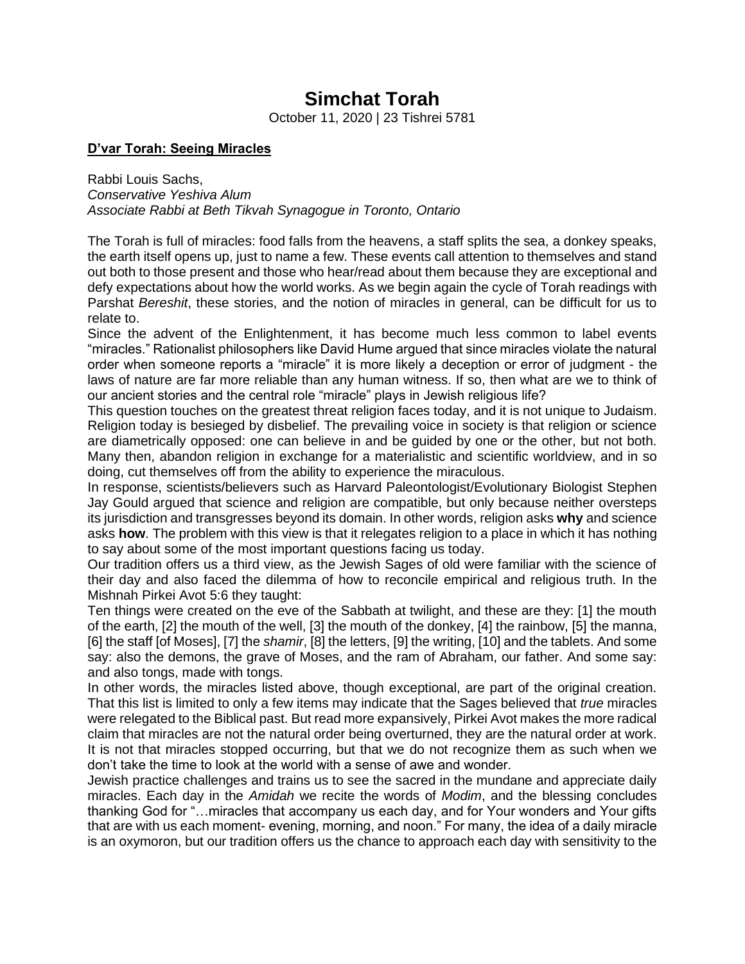# **Simchat Torah**

October 11, 2020 | 23 Tishrei 5781

### **D'var Torah: Seeing Miracles**

Rabbi Louis Sachs, *Conservative Yeshiva Alum Associate Rabbi at Beth Tikvah Synagogue in Toronto, Ontario*

The Torah is full of miracles: food falls from the heavens, a staff splits the sea, a donkey speaks, the earth itself opens up, just to name a few. These events call attention to themselves and stand out both to those present and those who hear/read about them because they are exceptional and defy expectations about how the world works. As we begin again the cycle of Torah readings with Parshat *Bereshit*, these stories, and the notion of miracles in general, can be difficult for us to relate to.

Since the advent of the Enlightenment, it has become much less common to label events "miracles." Rationalist philosophers like David Hume argued that since miracles violate the natural order when someone reports a "miracle" it is more likely a deception or error of judgment - the laws of nature are far more reliable than any human witness. If so, then what are we to think of our ancient stories and the central role "miracle" plays in Jewish religious life?

This question touches on the greatest threat religion faces today, and it is not unique to Judaism. Religion today is besieged by disbelief. The prevailing voice in society is that religion or science are diametrically opposed: one can believe in and be guided by one or the other, but not both. Many then, abandon religion in exchange for a materialistic and scientific worldview, and in so doing, cut themselves off from the ability to experience the miraculous.

In response, scientists/believers such as Harvard Paleontologist/Evolutionary Biologist Stephen Jay Gould argued that science and religion are compatible, but only because neither oversteps its jurisdiction and transgresses beyond its domain. In other words, religion asks **why** and science asks **how**. The problem with this view is that it relegates religion to a place in which it has nothing to say about some of the most important questions facing us today.

Our tradition offers us a third view, as the Jewish Sages of old were familiar with the science of their day and also faced the dilemma of how to reconcile empirical and religious truth. In the Mishnah Pirkei Avot 5:6 they taught:

Ten things were created on the eve of the Sabbath at twilight, and these are they: [1] the mouth of the earth, [2] the mouth of the well, [3] the mouth of the donkey, [4] the rainbow, [5] the manna, [6] the staff [of Moses], [7] the *shamir*, [8] the letters, [9] the writing, [10] and the tablets. And some say: also the demons, the grave of Moses, and the ram of Abraham, our father. And some say: and also tongs, made with tongs.

In other words, the miracles listed above, though exceptional, are part of the original creation. That this list is limited to only a few items may indicate that the Sages believed that *true* miracles were relegated to the Biblical past. But read more expansively, Pirkei Avot makes the more radical claim that miracles are not the natural order being overturned, they are the natural order at work. It is not that miracles stopped occurring, but that we do not recognize them as such when we don't take the time to look at the world with a sense of awe and wonder.

Jewish practice challenges and trains us to see the sacred in the mundane and appreciate daily miracles. Each day in the *Amidah* we recite the words of *Modim*, and the blessing concludes thanking God for "…miracles that accompany us each day, and for Your wonders and Your gifts that are with us each moment- evening, morning, and noon." For many, the idea of a daily miracle is an oxymoron, but our tradition offers us the chance to approach each day with sensitivity to the